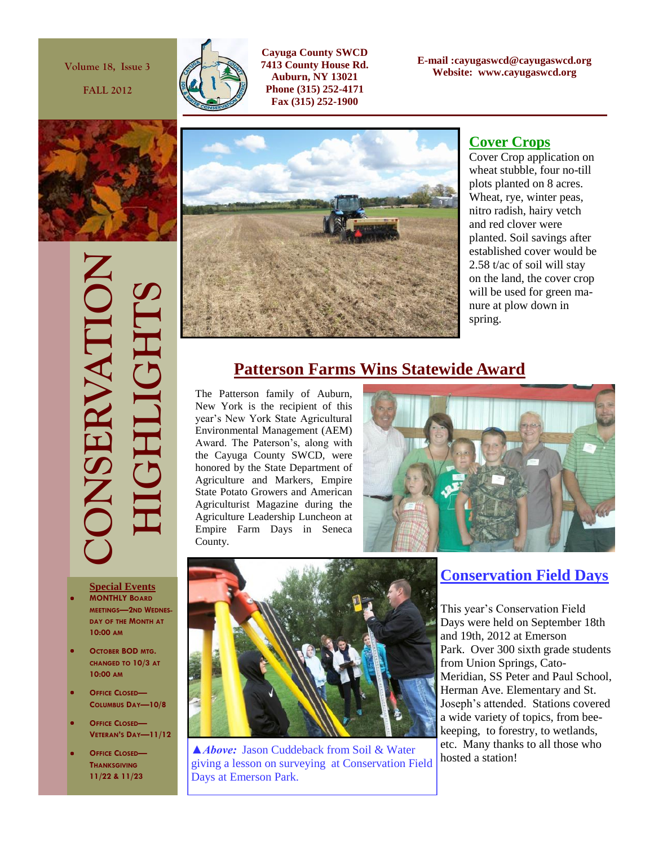**Volume 18, Issue 3**

**FALL 2012**



**Cayuga County SWCD 7413 County House Rd. Auburn, NY 13021 Phone (315) 252-4171 Fax (315) 252-1900**

**E-mail :cayugaswcd@cayugaswcd.org Website: www.cayugaswcd.org**







#### **Cover Crops**

Cover Crop application on wheat stubble, four no-till plots planted on 8 acres. Wheat, rye, winter peas, nitro radish, hairy vetch and red clover were planted. Soil savings after established cover would be 2.58 t/ac of soil will stay on the land, the cover crop will be used for green manure at plow down in spring.

# **Patterson Farms Wins Statewide Award**

The Patterson family of Auburn, New York is the recipient of this year's New York State Agricultural Environmental Management (AEM) Award. The Paterson's, along with the Cayuga County SWCD, were honored by the State Department of Agriculture and Markers, Empire State Potato Growers and American Agriculturist Magazine during the Agriculture Leadership Luncheon at Empire Farm Days in Seneca County.





- **MONTHLY BOARD MEETINGS—2ND WEDNES-DAY OF THE MONTH AT 10:00 AM**
- **OCTOBER BOD MTG. CHANGED TO 10/3 AT 10:00 AM**
- **OFFICE CLOSED— COLUMBUS DAY—10/8**
- **OFFICE CLOSED— VETERAN'S DAY—11/12**
- **OFFICE CLOSED— THANKSGIVING 11/22 & 11/23**



**△***Above:* Jason Cuddeback from Soil & Water  $\begin{bmatrix}$  etc. Many thank giving a lesson on surveying at Conservation Field Days at Emerson Park.

## **Conservation Field Days**

This year's Conservation Field Days were held on September 18th and 19th, 2012 at Emerson Park. Over 300 sixth grade students from Union Springs, Cato-Meridian, SS Peter and Paul School, Herman Ave. Elementary and St. Joseph's attended. Stations covered a wide variety of topics, from beekeeping, to forestry, to wetlands, etc. Many thanks to all those who